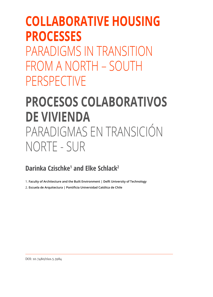## **COLLABORATIVE HOUSING PROCESSES**

PARADIGMS IN TRANSITION FROM A NORTH – SOUTH PERSPECTIVE

# **PROCESOS COLABORATIVOS DE VIVIENDA**  PARADIGMAS EN TRANSICIÓN NORTE - SUR

### **Darinka Czischke1 and Elke Schlack2**

1. **Faculty of Architecture and the Built Environment | Delft University of Technology**

2. **Escuela de Arquitectura | Pontificia Universidad Católica de Chile**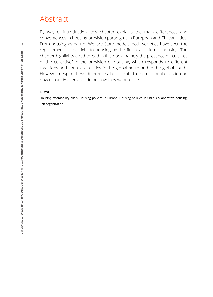### Abstract

By way of introduction, this chapter explains the main differences and convergences in housing provision paradigms in European and Chilean cities. From housing as part of Welfare State models, both societies have seen the replacement of the right to housing by the financialization of housing. The chapter highlights a red thread in this book, namely the presence of "cultures of the collective" in the provision of housing, which responds to different traditions and contexts in cities in the global north and in the global south. However, despite these differences, both relate to the essential question on how urban dwellers decide on how they want to live.

#### **KEYWORDS**

Housing affordability crisis, Housing policies in Europe, Housing policies in Chile, Collaborative housing, Self-organization.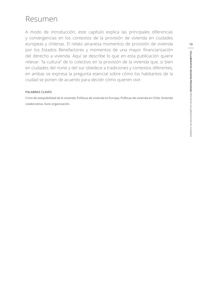## Resumen

A modo de introducción, este capítulo explica las principales diferencias y convergencias en los contextos de la provisión de vivienda en ciudades europeas y chilenas. El relato atraviesa momentos de provisión de vivienda por los Estados Benefactores y momentos de una mayor financiarización del derecho a vivienda. Aquí se describe lo que en esta publicación quiere relevar: "la cultura" de lo colectivo en la provisión de la vivienda que, si bien en ciudades del norte y del sur obedece a tradiciones y contextos diferentes, en ambas se expresa la pregunta esencial sobre cómo los habitantes de la ciudad se ponen de acuerdo para decidir cómo quieren vivir.

#### **PALABRAS CLAVES**

Crisis de asequibilidad de la vivienda; Políticas de vivienda en Europa; Políticas de vivienda en Chile; Vivienda colaborativa; Auto-organización.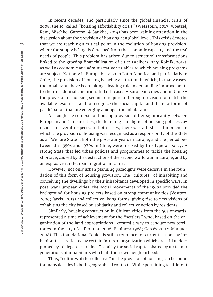In recent decades, and particularly since the global financial crisis of 2008, the so-called "housing affordability crisis" (Wetzstein, 2017; Woetzel, Ram, Mischke, Garemo, & Sankhe, 2014) has been gaining attention in the discussion about the provision of housing at a global level. This crisis denotes that we are reaching a critical point in the evolution of housing provision, where the supply is largely detached from the economic capacity and the real needs of people. This problem has arisen due to structural transformations linked to the growing financialization of cities (Aalbers 2015; Rolnik, 2013), as well as economic and administrative variables to which housing programs are subject. Not only in Europe but also in Latin America, and particularly in Chile, the provision of housing is facing a situation in which, in many cases, the inhabitants have been taking a leading role in demanding improvements to their residential condition. In both cases – European cities and in Chile the provision of housing seems to require a thorough revision to match the available resources, and to recognize the social capital and the new forms of participation that are emerging amongst the inhabitants.

Although the contexts of housing provision differ significantly between European and Chilean cities, the founding paradigms of housing policies coincide in several respects. In both cases, there was a historical moment in which the provision of housing was recognized as a responsibility of the State as a "Welfare State". Both the post-war years in Europe, and the period between the 1950s and 1970s in Chile, were marked by this type of policy. A strong State that led urban policies and programmes to tackle the housing shortage, caused by the destruction of the second world war in Europe, and by an explosive rural-urban migration in Chile.

However, not only urban planning paradigms were decisive in the foundation of this form of housing provision. The "cultures" of inhabiting and conceiving the dwellings by their inhabitants developed in specific ways. In post-war European cities, the social movements of the 1960s provided the background for housing projects based on strong community ties (Vestbro, 2000; Jarvis, 2013) and collective living forms, giving rise to new visions of cohabiting the city based on solidarity and collective action by residents.

Similarly, housing construction in Chilean cities from the 50s onwards, represented a time of achievement for the "settlers" who, based on the organization of the land appropriations , created a way to conquer new territories in the city (Castillo u. a. 2008; Espinoza 1988; Garcés 2002; Márquez 2008). This foundational "epic" is still a reference for current actions by inhabitants, as reflected by certain forms of organization which are still underpinned by "delegates per block", and by the social capital shared by up to four generations of inhabitants who built their own neighborhoods.

Thus, "cultures of the collective" in the provision of housing can be found for many decades in both geographical contexts. While pertaining to different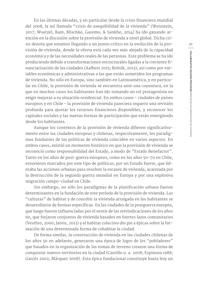En las últimas décadas, y en particular desde la crisis financiera mundial del 2008, la así llamada "crisis de asequibilidad de la vivienda" (Wetzstein, 2017; Woetzel, Ram, Mischke, Garemo, & Sankhe, 2014) ha ido ganando atención en la discusión sobre la provisión de vivienda a nivel global. Dicha crisis denota que estamos llegando a un punto crítico en la evolución de la provisión de vivienda, donde la oferta está cada vez más alejada de la capacidad económica y de las necesidades reales de las personas. Este problema se ha ido produciendo debido a transformaciones estructurales ligadas a la creciente financiarización de las ciudades (Aalbers 2015; Rolnik, 2013), así como por variables económicas y administrativas a las que están sometidos los programas de vivienda. No sólo en Europa, sino también en Latinoamérica, y en particular en Chile, la provisión de vivienda se encuentra ante una coyuntura, en la que en muchos casos los habitantes han ido tomando un rol protagonista en exigir mejoras a su situación residencial. En ambos casos – ciudades de países europeos y en Chile - la provisión de vivienda pareciera requerir una revisión profunda para ajustar los recursos financieros disponibles, y reconocer los capitales sociales y las nuevas formas de participación que están emergiendo desde los habitantes.

Aunque los contextos de la provisión de vivienda difieren significativamente entre las ciudades europeas y chilenas, respectivamente, los paradigmas fundantes de las políticas de vivienda coinciden en varios aspectos. En ambos casos, existió un momento histórico en que la provisión de vivienda se reconoció como responsabilidad del Estado, a modo de "Estado Benefactor". Tanto en los años de post-guerra europeos, como en los años 50-70 en Chile, estuvieron marcados por este tipo de políticas, por un Estado fuerte, que lideraba las acciones urbanas para resolver la escasez de vivienda, acarreada por la destrucción de la segunda guerra mundial en Europa y por una explosiva migración campo-ciudad en Chile.

Sin embargo, no sólo los paradigmas de la planificación urbana fueron determinantes en la fundación de este período de la provisión de vivienda. Las "culturas" de habitar y de concebir la vivienda arraigada en los habitantes se desarrollaron de formas específicas. En las ciudades de la postguerra europea, que luego fueron influenciadas por el sentir de las reivindicaciones de los años 60, que forjaron conjuntos de vivienda basados en fuertes lazos comunitarios (Vestbro, 2000; Jarvis, 2013) y el habitar colectivo dio pie a épicas sobre la formación de una determinada forma de cohabitar la ciudad.

De forma similar, la construcción de vivienda en las ciudades chilenas de los años 50 en adelante, generaron una época de logro de los "pobladores" que basados en la organización de las tomas de terreno crearon una forma de conquistar nuevos territorios en la ciudad (Castillo u. a. 2008; Espinoza 1988; Garcés 2002; Márquez 2008). Esta épica fundacional constituye hasta hoy un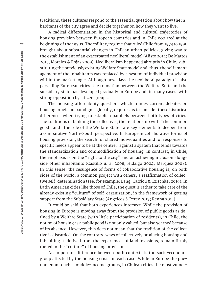traditions, these cultures respond to the essential question about how the inhabitants of the city agree and decide together on how they want to live.

A radical differentiation in the historical and cultural trajectories of housing provision between European countries and in Chile occurred at the beginning of the 1970s. The military regime that ruled Chile from 1973 to 1990 brought about substantial changes in Chilean urban policies, giving way to the establishment of an exacerbated neoliberal model (Aliste 2014; De Mattos 2015; Morales & Rojas 2009). Neoliberalism happened abruptly in Chile, substituting the previously existing Welfare State model and, thus, the self-management of the inhabitants was replaced by a system of individual provision within the market logic. Although nowadays the neoliberal paradigm is also pervading European cities, the transition between the Welfare State and the subsidiary state has developed gradually in Europe and, in many cases, with strong opposition by citizen groups.

The housing affordability question, which frames current debates on housing provision paradigms globally, requires us to consider these historical differences when trying to establish parallels between both types of cities. The traditions of building the collective , the relationship with "the common good" and "the role of the Welfare State" are key elements to deepen from a comparative North-South perspective. In European collaborative forms of housing provision, the search for shared individualities and for responses to specific needs appear to be at the centre, against a system that tends towards the standardization and commodification of housing. In contrast, in Chile, the emphasis is on the "right to the city" and on achieving inclusion alongside other inhabitants (Castillo u. a. 2008; Hidalgo 2004; Márquez 2008). In this sense, the resurgence of forms of collaborative housing is, on both sides of the world, a common project with others; a reaffirmation of collective self-determination (see, for example: Lang, Carriou & Czischke, 2019). In Latin American cities like those of Chile, the quest is rather to take care of the already existing "culture" of self-organization, in the framework of getting support from the Subsidiary State (Angelcos & Pérez 2017; Renna 2015).

It could be said that both experiences intersect. While the provision of housing in Europe is moving away from the provision of public goods as defined by a Welfare State (with little participation of residents), in Chile, the notion of housing as a public good is not only valued, but also yearned because of its absence. However, this does not mean that the tradition of the collective is discarded. On the contrary, ways of collectively producing housing and inhabiting it, derived from the experiences of land invasions, remain firmly rooted in the "culture" of housing provision.

An important difference between both contexts is the socio-economic group affected by the housing crisis in each case. While in Europe the phenomenon touches middle-income groups, in Chilean cities the most vulner-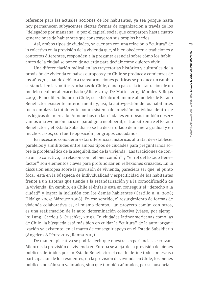referente para las actuales acciones de los habitantes, ya sea porque hasta hoy permanecen subyacentes ciertas formas de organización a través de los "delegados por manzana" o por el capital social que comparten hasta cuatro generaciones de habitantes que construyeron sus propios barrios.

Así, ambos tipos de ciudades, ya cuentan con una relación o "cultura" de lo colectivo en la provisión de la vivienda que, si bien obedecen a tradiciones y contextos diferentes, responden a la pregunta esencial sobre cómo los habitantes de la ciudad se ponen de acuerdo para decidir cómo quieren vivir.

Una diferenciación radical en las trayectorias histórico y culturales de la provisión de vivienda en países europeos y en Chile se produce a comienzos de los años 70, cuando debido a transformaciones políticas se produce un cambio sustancial en las políticas urbanas de Chile, dando paso a la instauración de un modelo neoliberal exacerbado (Aliste 2014; De Mattos 2015; Morales & Rojas 2009). El neoliberalismo en Chile, sucedió abruptamente al modelo de Estado Benefactor existente anteriormente y, así, la auto-gestión de los habitantes fue reemplazada totalmente por un sistema de provisión individual dentro de las lógicas del mercado. Aunque hoy en las ciudades europeas también observamos una evolución hacia el paradigma neoliberal, el tránsito entre el Estado Benefactor y el Estado Subsidiario se ha desarrollado de manera gradual y en muchos casos, con fuerte oposición por grupos ciudadanos.

Es necesario considerar estas diferencias históricas al tratar de establecer paralelos y similitudes entre ambos tipos de ciudades para preguntarnos sobre la problemática de la asequibilidad de la vivienda. Las tradiciones de construir lo colectivo, la relación con "el bien común" y "el rol del Estado Benefactor" son elementos claves para profundizar en reflexiones cruzadas. En la discusión europea sobre la provisión de vivienda, pareciera ser que, el punto focal está en la búsqueda de individualidad y especificidad de los habitantes frente a un sistema que tiende a la estandarización y a la comodificación de la vivienda. En cambio, en Chile el énfasis está en conseguir el "derecho a la ciudad" y lograr la inclusión con los demás habitantes (Castillo u. a. 2008; Hidalgo 2004; Márquez 2008). En ese sentido, el resurgimiento de formas de vivienda colaborativa es, al mismo tiempo, un proyecto común con otros, es una reafirmación de la auto-determinación colectiva (véase, por ejemplo: Lang, Carriou & Czischke, 2019). En ciudades latinoamericanas como las de Chile, la búsqueda está más bien en cuidar la "cultura" de la auto-organización ya existente, en el marco de conseguir apoyo en el Estado Subsidiario (Angelcos & Pérez 2017; Renna 2015).

De manera placativa se podría decir que nuestras experiencias se cruzan. Mientras la provisión de vivienda en Europa se aleja de la provisión de bienes públicos definidos por un Estado Benefactor el cual lo define todo con escasa participación de los residentes, en la provisión de vivienda en Chile, los bienes públicos no sólo son valorados, sino que también añorados, por su ausencia.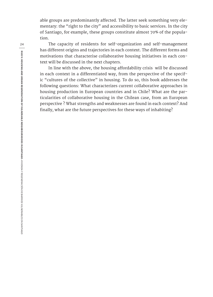able groups are predominantly affected. The latter seek something very elementary: the "right to the city" and accessibility to basic services. In the city of Santiago, for example, these groups constitute almost 70% of the population.

The capacity of residents for self-organization and self-management has different origins and trajectories in each context. The different forms and motivations that characterise collaborative housing initiatives in each context will be discussed in the next chapters.

In line with the above, the housing affordability crisis will be discussed in each context in a differentiated way, from the perspective of the specific "cultures of the collective" in housing. To do so, this book addresses the following questions: What characterizes current collaborative approaches in housing production in European countries and in Chile? What are the particularities of collaborative housing in the Chilean case, from an European perspective ? What strengths and weaknesses are found in each context? And finally, what are the future perspectives for these ways of inhabiting?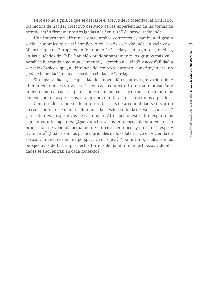Pero eso no significa que se descarte el acervo de lo colectivo, al contrario, los modos de habitar colectivo derivado de las experiencias de las tomas de terreno están firmemente arraigadas a la "cultura" de proveer vivienda.

Una importante diferencia entre ambos contextos es también el grupo socio-económico que está implicado en la crisis de vivienda en cada caso. Mientras que en Europa es un fenómeno de las clases emergentes y medias, en las ciudades de Chile han sido predominantemente los grupos más vulnerables buscando algo muy elemental, "derecho a ciudad" y accesibilidad a servicios básicos, que, a diferencia del contexto europeo, constituyen casi un 70% de la población, en el caso de la ciudad de Santiago.

Sin lugar a dudas, la capacidad de autogestión y auto-organización tiene diferentes orígenes y trayectorias en cada contexto. La forma, motivación y origen debido al cual las poblaciones de unos países y otros se inclinan más o menos por estos procesos, es algo que se tratará en los próximos capítulos.

Como se desprende de lo anterior, la crisis de asequibilidad se discutirá en cada contexto de manera diferenciada, desde la mirada de estas "culturas" ya existentes y específicas de cada lugar. Al respecto, este libro explora las siguientes interrogantes: ¿Qué caracteriza los enfoques colaborativos en la producción de vivienda actualmente en países europeos y en Chile, respectivamente? ¿Cuáles son las particularidades de lo colaborativo en vivienda en el caso Chileno, desde una perspectiva europea? Y por último, cuáles son las perspectivas de futuro para estas formas de habitar, qué fortalezas y debilidades se encuentran en cada contexto?